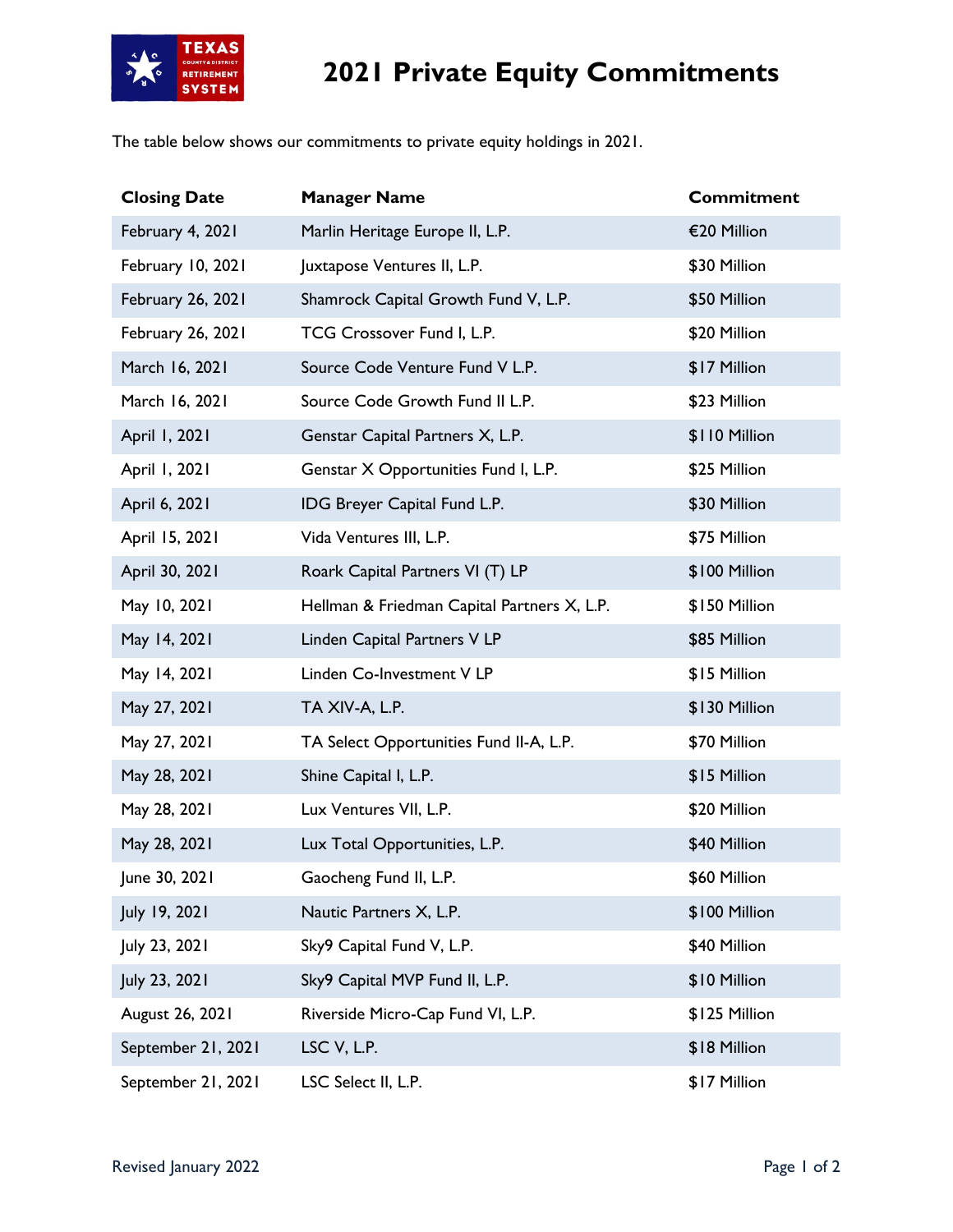

## **2021 Private Equity Commitments**

The table below shows our commitments to private equity holdings in 2021.

| <b>Closing Date</b> | <b>Manager Name</b>                         | <b>Commitment</b> |
|---------------------|---------------------------------------------|-------------------|
| February 4, 2021    | Marlin Heritage Europe II, L.P.             | €20 Million       |
| February 10, 2021   | Juxtapose Ventures II, L.P.                 | \$30 Million      |
| February 26, 2021   | Shamrock Capital Growth Fund V, L.P.        | \$50 Million      |
| February 26, 2021   | TCG Crossover Fund I, L.P.                  | \$20 Million      |
| March 16, 2021      | Source Code Venture Fund V L.P.             | \$17 Million      |
| March 16, 2021      | Source Code Growth Fund II L.P.             | \$23 Million      |
| April 1, 2021       | Genstar Capital Partners X, L.P.            | \$110 Million     |
| April 1, 2021       | Genstar X Opportunities Fund I, L.P.        | \$25 Million      |
| April 6, 2021       | IDG Breyer Capital Fund L.P.                | \$30 Million      |
| April 15, 2021      | Vida Ventures III, L.P.                     | \$75 Million      |
| April 30, 2021      | Roark Capital Partners VI (T) LP            | \$100 Million     |
| May 10, 2021        | Hellman & Friedman Capital Partners X, L.P. | \$150 Million     |
| May 14, 2021        | Linden Capital Partners V LP                | \$85 Million      |
| May 14, 2021        | Linden Co-Investment V LP                   | \$15 Million      |
| May 27, 2021        | TA XIV-A, L.P.                              | \$130 Million     |
| May 27, 2021        | TA Select Opportunities Fund II-A, L.P.     | \$70 Million      |
| May 28, 2021        | Shine Capital I, L.P.                       | \$15 Million      |
| May 28, 2021        | Lux Ventures VII, L.P.                      | \$20 Million      |
| May 28, 2021        | Lux Total Opportunities, L.P.               | \$40 Million      |
| June 30, 2021       | Gaocheng Fund II, L.P.                      | \$60 Million      |
| July 19, 2021       | Nautic Partners X, L.P.                     | \$100 Million     |
| July 23, 2021       | Sky9 Capital Fund V, L.P.                   | \$40 Million      |
| July 23, 2021       | Sky9 Capital MVP Fund II, L.P.              | \$10 Million      |
| August 26, 2021     | Riverside Micro-Cap Fund VI, L.P.           | \$125 Million     |
| September 21, 2021  | LSC V, L.P.                                 | \$18 Million      |
| September 21, 2021  | LSC Select II, L.P.                         | \$17 Million      |